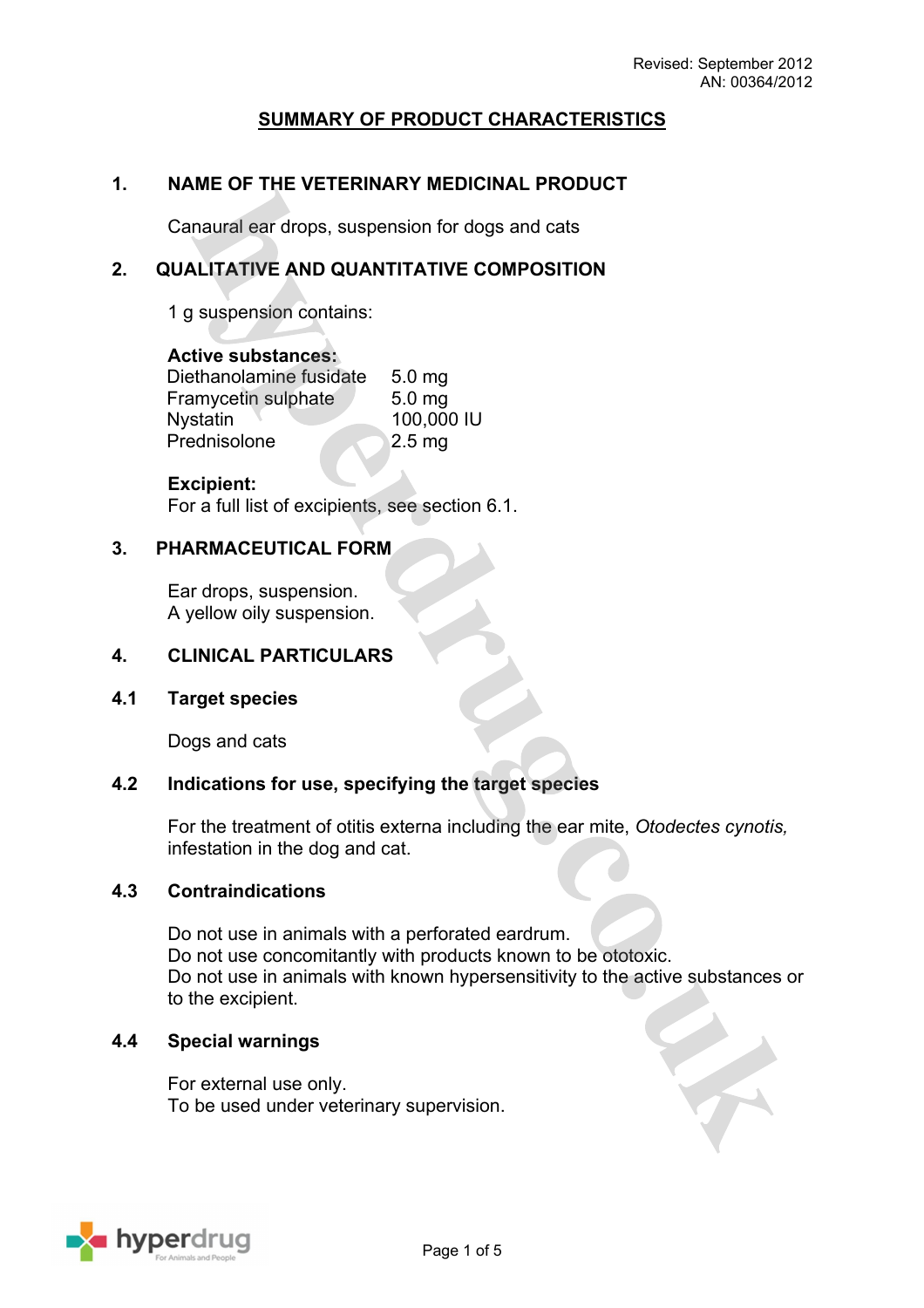# **SUMMARY OF PRODUCT CHARACTERISTICS**

### **1. NAME OF THE VETERINARY MEDICINAL PRODUCT**

Canaural ear drops, suspension for dogs and cats

### **2. QUALITATIVE AND QUANTITATIVE COMPOSITION**

1 g suspension contains:

#### **Active substances:**

Diethanolamine fusidate 5.0 mg Framycetin sulphate 5.0 mg Nystatin 100,000 IU Prednisolone 2.5 mg

#### **Excipient:**

For a full list of excipients, see section 6.1.

#### **3. PHARMACEUTICAL FORM**

Ear drops, suspension. A yellow oily suspension.

### **4. CLINICAL PARTICULARS**

**4.1 Target species**

Dogs and cats

#### **4.2 Indications for use, specifying the target species**

For the treatment of otitis externa including the ear mite, *Otodectes cynotis,* infestation in the dog and cat.

#### **4.3 Contraindications**

Do not use in animals with a perforated eardrum. Do not use concomitantly with products known to be ototoxic. Do not use in animals with known hypersensitivity to the active substances or to the excipient.

#### **4.4 Special warnings**

For external use only. To be used under veterinary supervision.

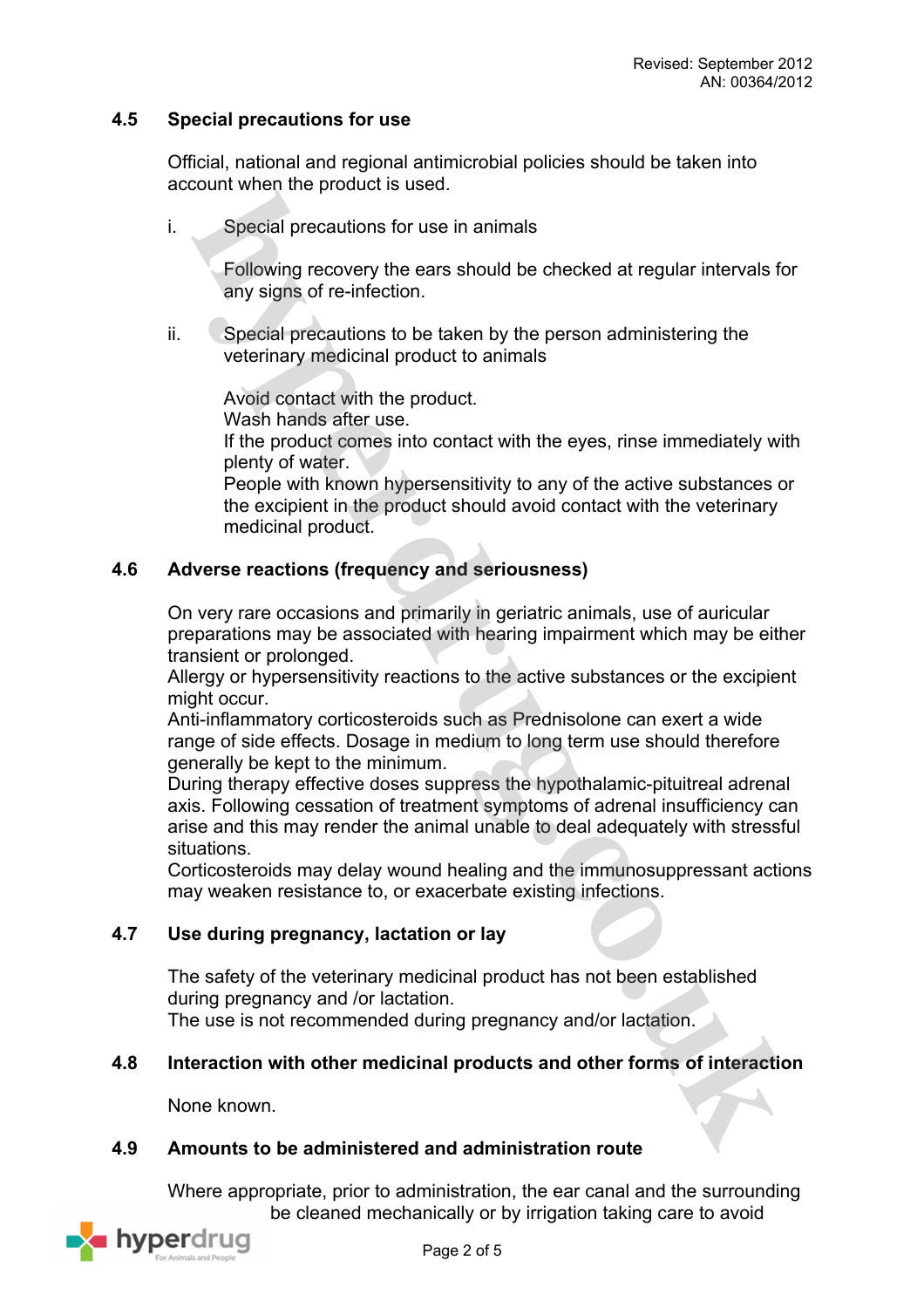## **4.5 Special precautions for use**

Official, national and regional antimicrobial policies should be taken into account when the product is used.

i. Special precautions for use in animals

Following recovery the ears should be checked at regular intervals for any signs of re-infection.

ii. Special precautions to be taken by the person administering the veterinary medicinal product to animals

Avoid contact with the product.

Wash hands after use.

If the product comes into contact with the eyes, rinse immediately with plenty of water.

People with known hypersensitivity to any of the active substances or the excipient in the product should avoid contact with the veterinary medicinal product.

## **4.6 Adverse reactions (frequency and seriousness)**

On very rare occasions and primarily in geriatric animals, use of auricular preparations may be associated with hearing impairment which may be either transient or prolonged.

Allergy or hypersensitivity reactions to the active substances or the excipient might occur.

Anti-inflammatory corticosteroids such as Prednisolone can exert a wide range of side effects. Dosage in medium to long term use should therefore generally be kept to the minimum.

During therapy effective doses suppress the hypothalamic-pituitreal adrenal axis. Following cessation of treatment symptoms of adrenal insufficiency can arise and this may render the animal unable to deal adequately with stressful situations.

Corticosteroids may delay wound healing and the immunosuppressant actions may weaken resistance to, or exacerbate existing infections.

## **4.7 Use during pregnancy, lactation or lay**

The safety of the veterinary medicinal product has not been established during pregnancy and /or lactation. The use is not recommended during pregnancy and/or lactation.

#### **4.8 Interaction with other medicinal products and other forms of interaction**

None known.

### **4.9 Amounts to be administered and administration route**

Where appropriate, prior to administration, the ear canal and the surrounding be cleaned mechanically or by irrigation taking care to avoid

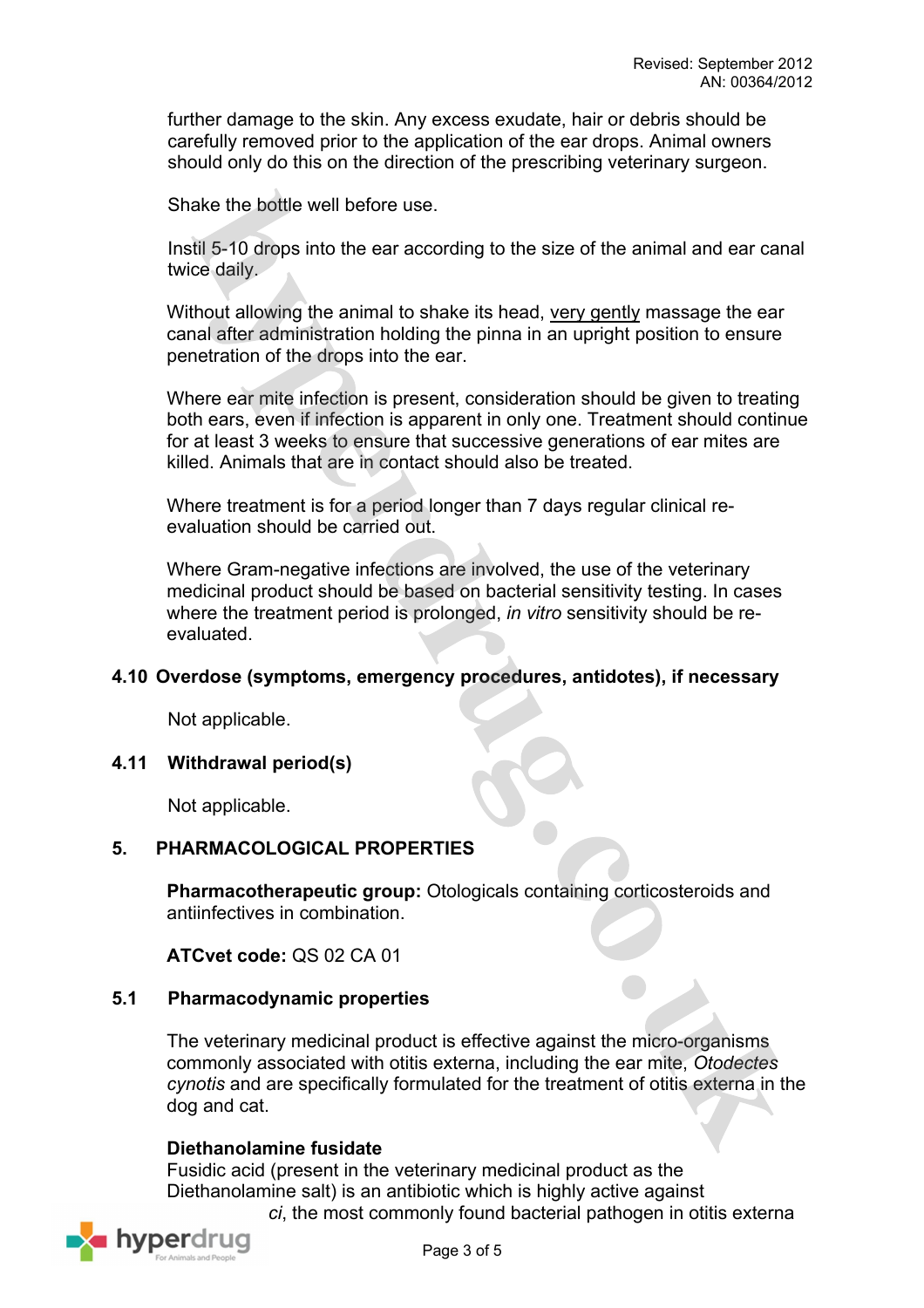further damage to the skin. Any excess exudate, hair or debris should be carefully removed prior to the application of the ear drops. Animal owners should only do this on the direction of the prescribing veterinary surgeon.

Shake the bottle well before use.

Instil 5-10 drops into the ear according to the size of the animal and ear canal twice daily.

Without allowing the animal to shake its head, very gently massage the ear canal after administration holding the pinna in an upright position to ensure penetration of the drops into the ear.

Where ear mite infection is present, consideration should be given to treating both ears, even if infection is apparent in only one. Treatment should continue for at least 3 weeks to ensure that successive generations of ear mites are killed. Animals that are in contact should also be treated.

Where treatment is for a period longer than 7 days regular clinical reevaluation should be carried out.

Where Gram-negative infections are involved, the use of the veterinary medicinal product should be based on bacterial sensitivity testing. In cases where the treatment period is prolonged, *in vitro* sensitivity should be reevaluated.

#### **4.10 Overdose (symptoms, emergency procedures, antidotes), if necessary**

Not applicable.

#### **4.11 Withdrawal period(s)**

Not applicable.

## **5. PHARMACOLOGICAL PROPERTIES**

**Pharmacotherapeutic group:** Otologicals containing corticosteroids and antiinfectives in combination.

**ATCvet code:** QS 02 CA 01

#### **5.1 Pharmacodynamic properties**

The veterinary medicinal product is effective against the micro-organisms commonly associated with otitis externa, including the ear mite, *Otodectes cynotis* and are specifically formulated for the treatment of otitis externa in the dog and cat.

## **Diethanolamine fusidate**

Fusidic acid (present in the veterinary medicinal product as the Diethanolamine salt) is an antibiotic which is highly active against *Staphylococci*, the most commonly found bacterial pathogen in otitis externa

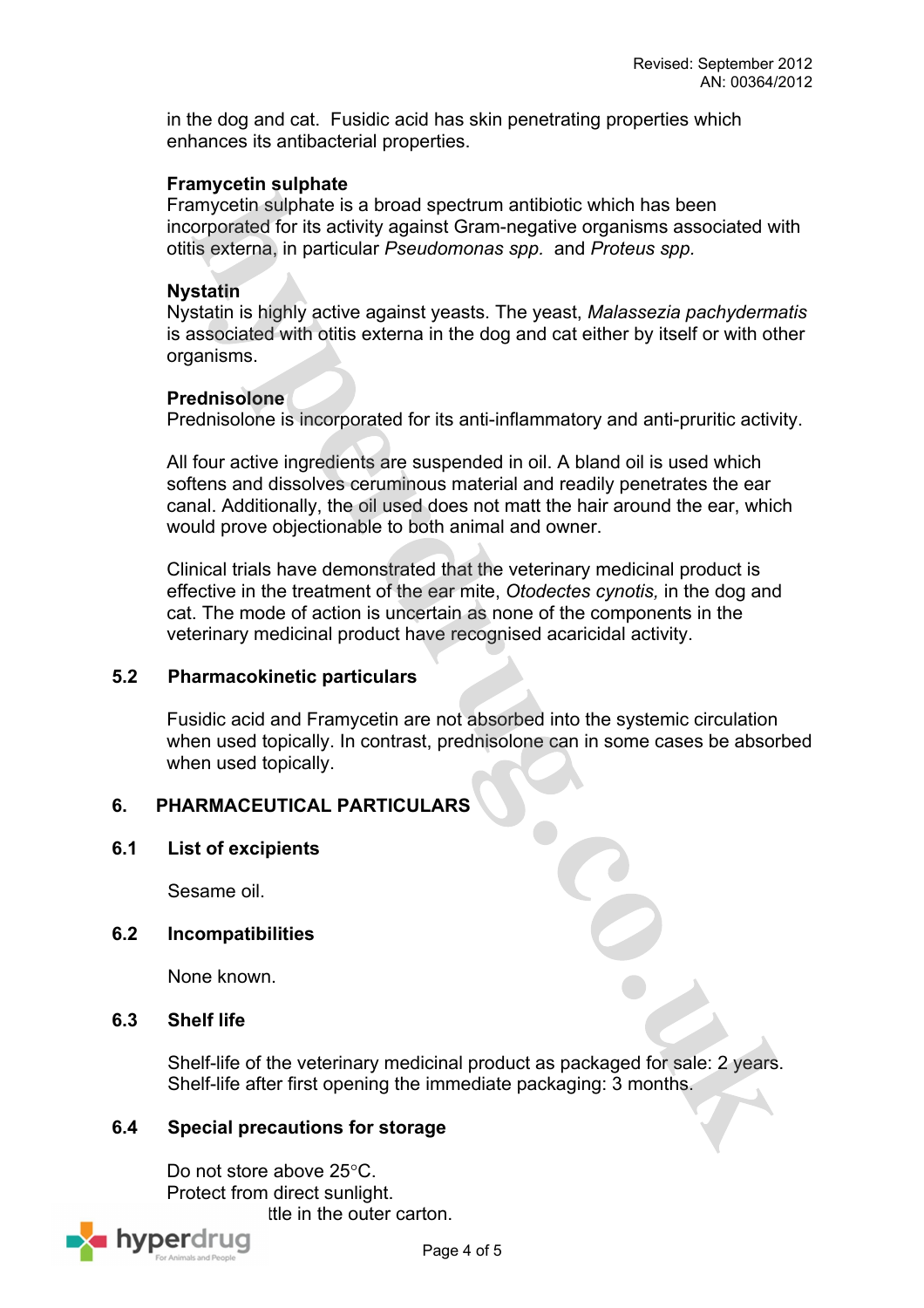in the dog and cat. Fusidic acid has skin penetrating properties which enhances its antibacterial properties.

#### **Framycetin sulphate**

Framycetin sulphate is a broad spectrum antibiotic which has been incorporated for its activity against Gram-negative organisms associated with otitis externa, in particular *Pseudomonas spp.* and *Proteus spp.* 

#### **Nystatin**

Nystatin is highly active against yeasts. The yeast, *Malassezia pachydermatis* is associated with otitis externa in the dog and cat either by itself or with other organisms.

#### **Prednisolone**

Prednisolone is incorporated for its anti-inflammatory and anti-pruritic activity.

All four active ingredients are suspended in oil. A bland oil is used which softens and dissolves ceruminous material and readily penetrates the ear canal. Additionally, the oil used does not matt the hair around the ear, which would prove objectionable to both animal and owner.

Clinical trials have demonstrated that the veterinary medicinal product is effective in the treatment of the ear mite, *Otodectes cynotis,* in the dog and cat. The mode of action is uncertain as none of the components in the veterinary medicinal product have recognised acaricidal activity.

## **5.2 Pharmacokinetic particulars**

Fusidic acid and Framycetin are not absorbed into the systemic circulation when used topically. In contrast, prednisolone can in some cases be absorbed when used topically.

## **6. PHARMACEUTICAL PARTICULARS**

## **6.1 List of excipients**

Sesame oil.

## **6.2 Incompatibilities**

None known.

## **6.3 Shelf life**

Shelf-life of the veterinary medicinal product as packaged for sale: 2 years. Shelf-life after first opening the immediate packaging: 3 months.

## **6.4 Special precautions for storage**

Do not store above 25°C. Protect from direct sunlight.